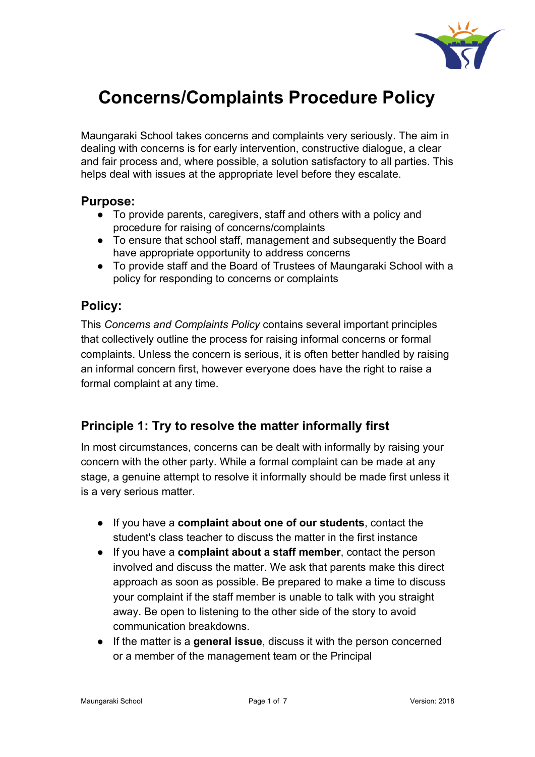

# **Concerns/Complaints Procedure Policy**

Maungaraki School takes concerns and complaints very seriously. The aim in dealing with concerns is for early intervention, constructive dialogue, a clear and fair process and, where possible, a solution satisfactory to all parties. This helps deal with issues at the appropriate level before they escalate.

## **Purpose:**

- To provide parents, caregivers, staff and others with a policy and procedure for raising of concerns/complaints
- To ensure that school staff, management and subsequently the Board have appropriate opportunity to address concerns
- To provide staff and the Board of Trustees of Maungaraki School with a policy for responding to concerns or complaints

# **Policy:**

This *Concerns and Complaints Policy* contains several important principles that collectively outline the process for raising informal concerns or formal complaints. Unless the concern is serious, it is often better handled by raising an informal concern first, however everyone does have the right to raise a formal complaint at any time.

# **Principle 1: Try to resolve the matter informally first**

In most circumstances, concerns can be dealt with informally by raising your concern with the other party. While a formal complaint can be made at any stage, a genuine attempt to resolve it informally should be made first unless it is a very serious matter.

- If you have a **complaint about one of our students**, contact the student's class teacher to discuss the matter in the first instance
- If you have a **complaint about a staff member**, contact the person involved and discuss the matter. We ask that parents make this direct approach as soon as possible. Be prepared to make a time to discuss your complaint if the staff member is unable to talk with you straight away. Be open to listening to the other side of the story to avoid communication breakdowns.
- If the matter is a **general issue**, discuss it with the person concerned or a member of the management team or the Principal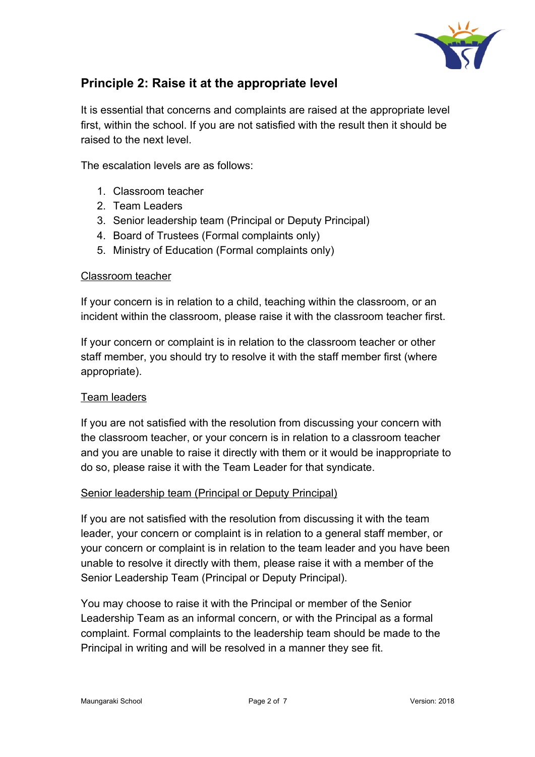

# **Principle 2: Raise it at the appropriate level**

It is essential that concerns and complaints are raised at the appropriate level first, within the school. If you are not satisfied with the result then it should be raised to the next level.

The escalation levels are as follows:

- 1. Classroom teacher
- 2. Team Leaders
- 3. Senior leadership team (Principal or Deputy Principal)
- 4. Board of Trustees (Formal complaints only)
- 5. Ministry of Education (Formal complaints only)

#### Classroom teacher

If your concern is in relation to a child, teaching within the classroom, or an incident within the classroom, please raise it with the classroom teacher first.

If your concern or complaint is in relation to the classroom teacher or other staff member, you should try to resolve it with the staff member first (where appropriate).

#### Team leaders

If you are not satisfied with the resolution from discussing your concern with the classroom teacher, or your concern is in relation to a classroom teacher and you are unable to raise it directly with them or it would be inappropriate to do so, please raise it with the Team Leader for that syndicate.

#### Senior leadership team (Principal or Deputy Principal)

If you are not satisfied with the resolution from discussing it with the team leader, your concern or complaint is in relation to a general staff member, or your concern or complaint is in relation to the team leader and you have been unable to resolve it directly with them, please raise it with a member of the Senior Leadership Team (Principal or Deputy Principal).

You may choose to raise it with the Principal or member of the Senior Leadership Team as an informal concern, or with the Principal as a formal complaint. Formal complaints to the leadership team should be made to the Principal in writing and will be resolved in a manner they see fit.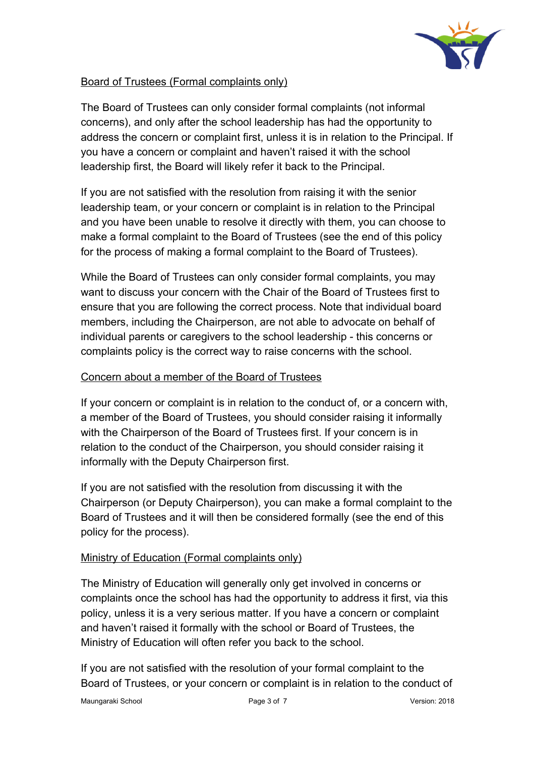

## Board of Trustees (Formal complaints only)

The Board of Trustees can only consider formal complaints (not informal concerns), and only after the school leadership has had the opportunity to address the concern or complaint first, unless it is in relation to the Principal. If you have a concern or complaint and haven't raised it with the school leadership first, the Board will likely refer it back to the Principal.

If you are not satisfied with the resolution from raising it with the senior leadership team, or your concern or complaint is in relation to the Principal and you have been unable to resolve it directly with them, you can choose to make a formal complaint to the Board of Trustees (see the end of this policy for the process of making a formal complaint to the Board of Trustees).

While the Board of Trustees can only consider formal complaints, you may want to discuss your concern with the Chair of the Board of Trustees first to ensure that you are following the correct process. Note that individual board members, including the Chairperson, are not able to advocate on behalf of individual parents or caregivers to the school leadership - this concerns or complaints policy is the correct way to raise concerns with the school.

## Concern about a member of the Board of Trustees

If your concern or complaint is in relation to the conduct of, or a concern with, a member of the Board of Trustees, you should consider raising it informally with the Chairperson of the Board of Trustees first. If your concern is in relation to the conduct of the Chairperson, you should consider raising it informally with the Deputy Chairperson first.

If you are not satisfied with the resolution from discussing it with the Chairperson (or Deputy Chairperson), you can make a formal complaint to the Board of Trustees and it will then be considered formally (see the end of this policy for the process).

#### Ministry of Education (Formal complaints only)

The Ministry of Education will generally only get involved in concerns or complaints once the school has had the opportunity to address it first, via this policy, unless it is a very serious matter. If you have a concern or complaint and haven't raised it formally with the school or Board of Trustees, the Ministry of Education will often refer you back to the school.

If you are not satisfied with the resolution of your formal complaint to the Board of Trustees, or your concern or complaint is in relation to the conduct of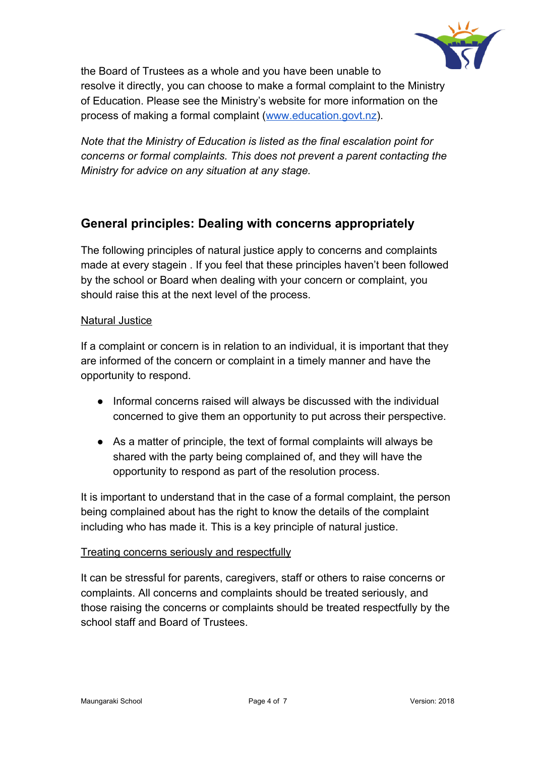

the Board of Trustees as a whole and you have been unable to resolve it directly, you can choose to make a formal complaint to the Ministry of Education. Please see the Ministry's website for more information on the process of making a formal complaint [\(www.education.govt.nz\)](http://www.education.govt.nz/).

*Note that the Ministry of Education is listed as the final escalation point for concerns or formal complaints. This does not prevent a parent contacting the Ministry for advice on any situation at any stage.*

# **General principles: Dealing with concerns appropriately**

The following principles of natural justice apply to concerns and complaints made at every stagein . If you feel that these principles haven't been followed by the school or Board when dealing with your concern or complaint, you should raise this at the next level of the process.

## Natural Justice

If a complaint or concern is in relation to an individual, it is important that they are informed of the concern or complaint in a timely manner and have the opportunity to respond.

- Informal concerns raised will always be discussed with the individual concerned to give them an opportunity to put across their perspective.
- As a matter of principle, the text of formal complaints will always be shared with the party being complained of, and they will have the opportunity to respond as part of the resolution process.

It is important to understand that in the case of a formal complaint, the person being complained about has the right to know the details of the complaint including who has made it. This is a key principle of natural justice.

#### Treating concerns seriously and respectfully

It can be stressful for parents, caregivers, staff or others to raise concerns or complaints. All concerns and complaints should be treated seriously, and those raising the concerns or complaints should be treated respectfully by the school staff and Board of Trustees.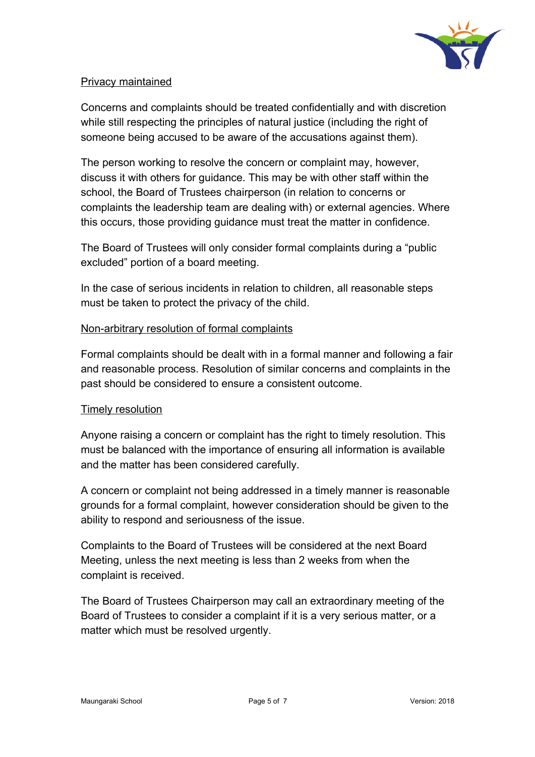

## Privacy maintained

Concerns and complaints should be treated confidentially and with discretion while still respecting the principles of natural justice (including the right of someone being accused to be aware of the accusations against them).

The person working to resolve the concern or complaint may, however, discuss it with others for guidance. This may be with other staff within the school, the Board of Trustees chairperson (in relation to concerns or complaints the leadership team are dealing with) or external agencies. Where this occurs, those providing guidance must treat the matter in confidence.

The Board of Trustees will only consider formal complaints during a "public excluded" portion of a board meeting.

In the case of serious incidents in relation to children, all reasonable steps must be taken to protect the privacy of the child.

#### Non-arbitrary resolution of formal complaints

Formal complaints should be dealt with in a formal manner and following a fair and reasonable process. Resolution of similar concerns and complaints in the past should be considered to ensure a consistent outcome.

#### **Timely resolution**

Anyone raising a concern or complaint has the right to timely resolution. This must be balanced with the importance of ensuring all information is available and the matter has been considered carefully.

A concern or complaint not being addressed in a timely manner is reasonable grounds for a formal complaint, however consideration should be given to the ability to respond and seriousness of the issue.

Complaints to the Board of Trustees will be considered at the next Board Meeting, unless the next meeting is less than 2 weeks from when the complaint is received.

The Board of Trustees Chairperson may call an extraordinary meeting of the Board of Trustees to consider a complaint if it is a very serious matter, or a matter which must be resolved urgently.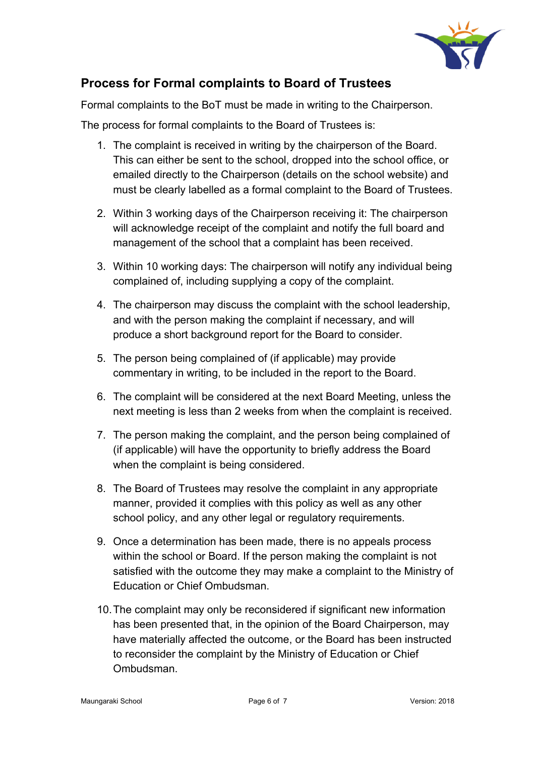

# **Process for Formal complaints to Board of Trustees**

Formal complaints to the BoT must be made in writing to the Chairperson.

The process for formal complaints to the Board of Trustees is:

- 1. The complaint is received in writing by the chairperson of the Board. This can either be sent to the school, dropped into the school office, or emailed directly to the Chairperson (details on the school website) and must be clearly labelled as a formal complaint to the Board of Trustees.
- 2. Within 3 working days of the Chairperson receiving it: The chairperson will acknowledge receipt of the complaint and notify the full board and management of the school that a complaint has been received.
- 3. Within 10 working days: The chairperson will notify any individual being complained of, including supplying a copy of the complaint.
- 4. The chairperson may discuss the complaint with the school leadership, and with the person making the complaint if necessary, and will produce a short background report for the Board to consider.
- 5. The person being complained of (if applicable) may provide commentary in writing, to be included in the report to the Board.
- 6. The complaint will be considered at the next Board Meeting, unless the next meeting is less than 2 weeks from when the complaint is received.
- 7. The person making the complaint, and the person being complained of (if applicable) will have the opportunity to briefly address the Board when the complaint is being considered.
- 8. The Board of Trustees may resolve the complaint in any appropriate manner, provided it complies with this policy as well as any other school policy, and any other legal or regulatory requirements.
- 9. Once a determination has been made, there is no appeals process within the school or Board. If the person making the complaint is not satisfied with the outcome they may make a complaint to the Ministry of Education or Chief Ombudsman.
- 10.The complaint may only be reconsidered if significant new information has been presented that, in the opinion of the Board Chairperson, may have materially affected the outcome, or the Board has been instructed to reconsider the complaint by the Ministry of Education or Chief Ombudsman.